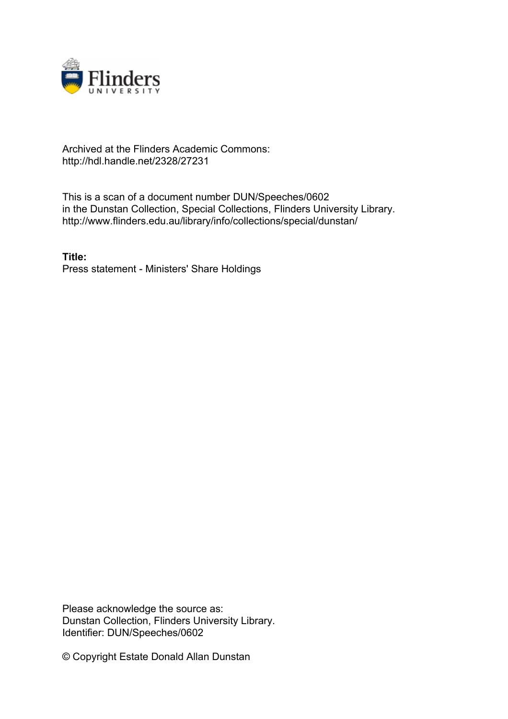

## Archived at the Flinders Academic Commons: http://hdl.handle.net/2328/27231

This is a scan of a document number DUN/Speeches/0602 in the Dunstan Collection, Special Collections, Flinders University Library. http://www.flinders.edu.au/library/info/collections/special/dunstan/

**Title:** Press statement - Ministers' Share Holdings

Please acknowledge the source as: Dunstan Collection, Flinders University Library. Identifier: DUN/Speeches/0602

© Copyright Estate Donald Allan Dunstan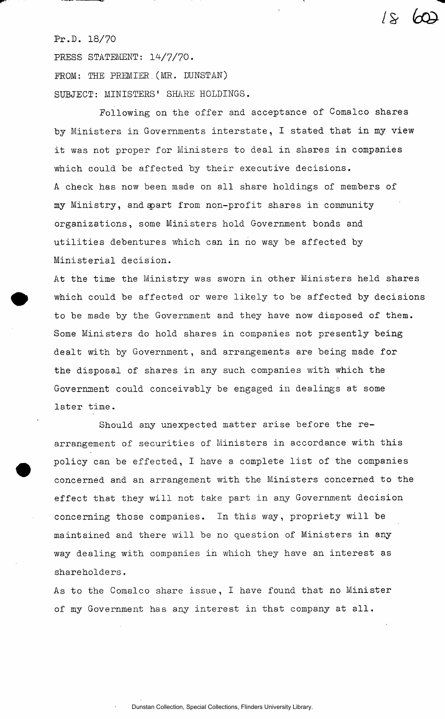## Pr.D. 18/70

PRESS STATEMENT: 14/7/70.

FROM: THE PREMIER.(MR. DUNSTAN) SUBJECT: MINISTERS' SHARE HOLDINGS.

Following on the offer and acceptance of Comalco shares by Ministers in Governments interstate, I stated that in my view it was not proper for Ministers to deal in shares in companies which could be affected by their executive decisions. A check has now been made on all share holdings of members of my Ministry, and epart from non-profit shares in community organizations, some Ministers hold Government bonds and utilities debentures which can in no way be affected by Ministerial decision.

 $18$ 

At the time the Ministry was sworn in other Ministers held shares which could be affected or were likely to be affected by decisions to be made by the Government and they have now disposed of them. Some Ministers do hold shares in companies not presently being dealt with by Government, and arrangements are being made for the disposal of shares in any such companies with which the Government could conceivably be engaged in dealings at some later time.

Should any unexpected matter arise before the rearrangement of securities of Ministers in accordance with this policy can be effected, I have a complete list of the companies concerned and an arrangement with the Ministers concerned to the effect that they will not take part in any Government decision concerning those companies. In this way, propriety will be maintained and there will be no question of Ministers in any way dealing with companies in which they have an interest as shareholders.

As to the Comalco share issue, I have found that no Minister of my Government has any interest in that company at all.